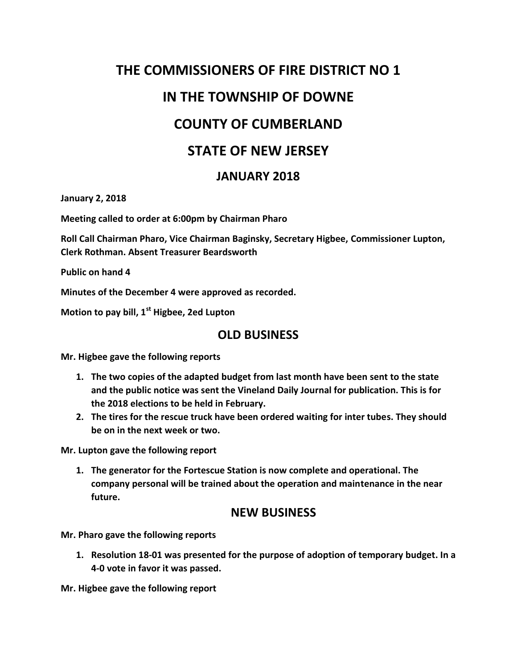# **THE COMMISSIONERS OF FIRE DISTRICT NO 1 IN THE TOWNSHIP OF DOWNE COUNTY OF CUMBERLAND STATE OF NEW JERSEY**

#### **JANUARY 2018**

**January 2, 2018**

**Meeting called to order at 6:00pm by Chairman Pharo**

**Roll Call Chairman Pharo, Vice Chairman Baginsky, Secretary Higbee, Commissioner Lupton, Clerk Rothman. Absent Treasurer Beardsworth**

**Public on hand 4**

**Minutes of the December 4 were approved as recorded.**

**Motion to pay bill, 1st Higbee, 2ed Lupton**

## **OLD BUSINESS**

**Mr. Higbee gave the following reports**

- **1. The two copies of the adapted budget from last month have been sent to the state and the public notice was sent the Vineland Daily Journal for publication. This is for the 2018 elections to be held in February.**
- **2. The tires for the rescue truck have been ordered waiting for inter tubes. They should be on in the next week or two.**

**Mr. Lupton gave the following report**

**1. The generator for the Fortescue Station is now complete and operational. The company personal will be trained about the operation and maintenance in the near future.**

### **NEW BUSINESS**

**Mr. Pharo gave the following reports**

**1. Resolution 18-01 was presented for the purpose of adoption of temporary budget. In a 4-0 vote in favor it was passed.**

**Mr. Higbee gave the following report**